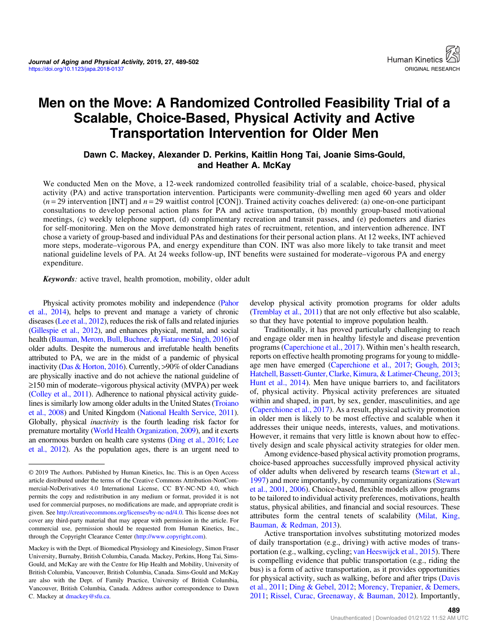# Men on the Move: A Randomized Controlled Feasibility Trial of a Scalable, Choice-Based, Physical Activity and Active Transportation Intervention for Older Men

Dawn C. Mackey, Alexander D. Perkins, Kaitlin Hong Tai, Joanie Sims-Gould, and Heather A. McKay

We conducted Men on the Move, a 12-week randomized controlled feasibility trial of a scalable, choice-based, physical activity (PA) and active transportation intervention. Participants were community-dwelling men aged 60 years and older  $(n=29$  intervention [INT] and  $n=29$  waitlist control [CON]). Trained activity coaches delivered: (a) one-on-one participant consultations to develop personal action plans for PA and active transportation, (b) monthly group-based motivational meetings, (c) weekly telephone support, (d) complimentary recreation and transit passes, and (e) pedometers and diaries for self-monitoring. Men on the Move demonstrated high rates of recruitment, retention, and intervention adherence. INT chose a variety of group-based and individual PAs and destinations for their personal action plans. At 12 weeks, INT achieved more steps, moderate–vigorous PA, and energy expenditure than CON. INT was also more likely to take transit and meet national guideline levels of PA. At 24 weeks follow-up, INT benefits were sustained for moderate–vigorous PA and energy expenditure.

Keywords: active travel, health promotion, mobility, older adult

Physical activity promotes mobility and independence [\(Pahor](#page-12-0) [et al., 2014](#page-12-0)), helps to prevent and manage a variety of chronic diseases [\(Lee et al., 2012](#page-12-0)), reduces the risk of falls and related injuries [\(Gillespie et al., 2012\)](#page-11-0), and enhances physical, mental, and social health [\(Bauman, Merom, Bull, Buchner, & Fiatarone Singh, 2016\)](#page-11-0) of older adults. Despite the numerous and irrefutable health benefits attributed to PA, we are in the midst of a pandemic of physical inactivity ([Das & Horton, 2016](#page-11-0)). Currently, >90% of older Canadians are physically inactive and do not achieve the national guideline of ≥150 min of moderate–vigorous physical activity (MVPA) per week [\(Colley et al., 2011](#page-11-0)). Adherence to national physical activity guidelines is similarly low among older adults in the United States [\(Troiano](#page-12-0) [et al., 2008\)](#page-12-0) and United Kingdom [\(National Health Service, 2011](#page-12-0)). Globally, physical inactivity is the fourth leading risk factor for premature mortality [\(World Health Organization, 2009](#page-13-0)), and it exerts an enormous burden on health care systems [\(Ding et al., 2016;](#page-11-0) [Lee](#page-12-0) [et al., 2012](#page-12-0)). As the population ages, there is an urgent need to develop physical activity promotion programs for older adults [\(Tremblay et al., 2011](#page-12-0)) that are not only effective but also scalable, so that they have potential to improve population health.

Traditionally, it has proved particularly challenging to reach and engage older men in healthy lifestyle and disease prevention programs ([Caperchione et al., 2017\)](#page-11-0). Within men's health research, reports on effective health promoting programs for young to middleage men have emerged [\(Caperchione et al., 2017;](#page-11-0) [Gough, 2013](#page-11-0); [Hatchell, Bassett-Gunter, Clarke, Kimura, & Latimer-Cheung, 2013](#page-12-0); [Hunt et al., 2014](#page-12-0)). Men have unique barriers to, and facilitators of, physical activity. Physical activity preferences are situated within and shaped, in part, by sex, gender, masculinities, and age [\(Caperchione et al., 2017\)](#page-11-0). As a result, physical activity promotion in older men is likely to be most effective and scalable when it addresses their unique needs, interests, values, and motivations. However, it remains that very little is known about how to effectively design and scale physical activity strategies for older men.

Among evidence-based physical activity promotion programs, choice-based approaches successfully improved physical activity of older adults when delivered by research teams ([Stewart et al.,](#page-12-0) [1997](#page-12-0)) and more importantly, by community organizations ([Stewart](#page-12-0) [et al., 2001,](#page-12-0) [2006\)](#page-12-0). Choice-based, flexible models allow programs to be tailored to individual activity preferences, motivations, health status, physical abilities, and financial and social resources. These attributes form the central tenets of scalability ([Milat, King,](#page-12-0) [Bauman, & Redman, 2013\)](#page-12-0).

Active transportation involves substituting motorized modes of daily transportation (e.g., driving) with active modes of transportation (e.g., walking, cycling; [van Heeswijck et al., 2015](#page-12-0)). There is compelling evidence that public transportation (e.g., riding the bus) is a form of active transportation, as it provides opportunities for physical activity, such as walking, before and after trips ([Davis](#page-11-0) [et al., 2011](#page-11-0); [Ding & Gebel, 2012](#page-11-0); [Morency, Trepanier, & Demers,](#page-12-0) [2011](#page-12-0); [Rissel, Curac, Greenaway, & Bauman, 2012](#page-12-0)). Importantly,

<sup>© 2019</sup> The Authors. Published by Human Kinetics, Inc. This is an Open Access article distributed under the terms of the Creative Commons Attribution-NonCommercial-NoDerivatives 4.0 International License, CC BY-NC-ND 4.0, which permits the copy and redistribution in any medium or format, provided it is not used for commercial purposes, no modifications are made, and appropriate credit is given. See <http://creativecommons.org/licenses/by-nc-nd/4.0>. This license does not cover any third-party material that may appear with permission in the article. For commercial use, permission should be requested from Human Kinetics, Inc., through the Copyright Clearance Center ([http://www.copyright.com\)](http://www.copyright.com).

Mackey is with the Dept. of Biomedical Physiology and Kinesiology, Simon Fraser University, Burnaby, British Columbia, Canada. Mackey, Perkins, Hong Tai, Sims-Gould, and McKay are with the Centre for Hip Health and Mobility, University of British Columbia, Vancouver, British Columbia, Canada. Sims-Gould and McKay are also with the Dept. of Family Practice, University of British Columbia, Vancouver, British Columbia, Canada. Address author correspondence to Dawn C. Mackey at [dmackey@sfu.ca.](mailto:dmackey@sfu.ca)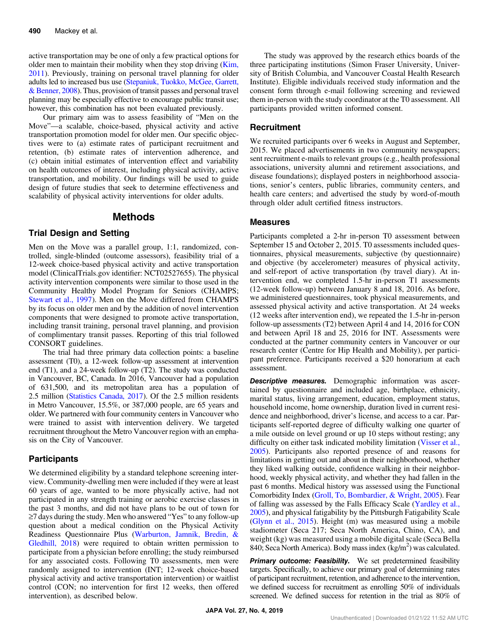active transportation may be one of only a few practical options for older men to maintain their mobility when they stop driving ([Kim,](#page-12-0) [2011](#page-12-0)). Previously, training on personal travel planning for older adults led to increased bus use [\(Stepaniuk, Tuokko, McGee, Garrett,](#page-12-0) [& Benner, 2008\)](#page-12-0). Thus, provision of transit passes and personal travel planning may be especially effective to encourage public transit use; however, this combination has not been evaluated previously.

Our primary aim was to assess feasibility of "Men on the Move"—a scalable, choice-based, physical activity and active transportation promotion model for older men. Our specific objectives were to (a) estimate rates of participant recruitment and retention, (b) estimate rates of intervention adherence, and (c) obtain initial estimates of intervention effect and variability on health outcomes of interest, including physical activity, active transportation, and mobility. Our findings will be used to guide design of future studies that seek to determine effectiveness and scalability of physical activity interventions for older adults.

### Methods

#### Trial Design and Setting

Men on the Move was a parallel group, 1:1, randomized, controlled, single-blinded (outcome assessors), feasibility trial of a 12-week choice-based physical activity and active transportation model (ClinicalTrials.gov identifier: NCT02527655). The physical activity intervention components were similar to those used in the Community Healthy Model Program for Seniors (CHAMPS; [Stewart et al., 1997](#page-12-0)). Men on the Move differed from CHAMPS by its focus on older men and by the addition of novel intervention components that were designed to promote active transportation, including transit training, personal travel planning, and provision of complimentary transit passes. Reporting of this trial followed CONSORT guidelines.

The trial had three primary data collection points: a baseline assessment (T0), a 12-week follow-up assessment at intervention end (T1), and a 24-week follow-up (T2). The study was conducted in Vancouver, BC, Canada. In 2016, Vancouver had a population of 631,500, and its metropolitan area has a population of 2.5 million [\(Statistics Canada, 2017](#page-12-0)). Of the 2.5 million residents in Metro Vancouver, 15.5%, or 387,000 people, are 65 years and older. We partnered with four community centers in Vancouver who were trained to assist with intervention delivery. We targeted recruitment throughout the Metro Vancouver region with an emphasis on the City of Vancouver.

#### **Participants**

We determined eligibility by a standard telephone screening interview. Community-dwelling men were included if they were at least 60 years of age, wanted to be more physically active, had not participated in any strength training or aerobic exercise classes in the past 3 months, and did not have plans to be out of town for ≥7 days during the study. Men who answered "Yes" to any follow-up question about a medical condition on the Physical Activity Readiness Questionnaire Plus ([Warburton, Jamnik, Bredin, &](#page-13-0) [Gledhill, 2018](#page-13-0)) were required to obtain written permission to participate from a physician before enrolling; the study reimbursed for any associated costs. Following T0 assessments, men were randomly assigned to intervention (INT; 12-week choice-based physical activity and active transportation intervention) or waitlist control (CON; no intervention for first 12 weeks, then offered intervention), as described below.

The study was approved by the research ethics boards of the three participating institutions (Simon Fraser University, University of British Columbia, and Vancouver Coastal Health Research Institute). Eligible individuals received study information and the consent form through e-mail following screening and reviewed them in-person with the study coordinator at the T0 assessment. All participants provided written informed consent.

#### **Recruitment**

We recruited participants over 6 weeks in August and September, 2015. We placed advertisements in two community newspapers; sent recruitment e-mails to relevant groups (e.g., health professional associations, university alumni and retirement associations, and disease foundations); displayed posters in neighborhood associations, senior's centers, public libraries, community centers, and health care centers; and advertised the study by word-of-mouth through older adult certified fitness instructors.

#### Measures

Participants completed a 2-hr in-person T0 assessment between September 15 and October 2, 2015. T0 assessments included questionnaires, physical measurements, subjective (by questionnaire) and objective (by accelerometer) measures of physical activity, and self-report of active transportation (by travel diary). At intervention end, we completed 1.5-hr in-person T1 assessments (12-week follow-up) between January 8 and 18, 2016. As before, we administered questionnaires, took physical measurements, and assessed physical activity and active transportation. At 24 weeks (12 weeks after intervention end), we repeated the 1.5-hr in-person follow-up assessments (T2) between April 4 and 14, 2016 for CON and between April 18 and 25, 2016 for INT. Assessments were conducted at the partner community centers in Vancouver or our research center (Centre for Hip Health and Mobility), per participant preference. Participants received a \$20 honorarium at each assessment.

**Descriptive measures.** Demographic information was ascertained by questionnaire and included age, birthplace, ethnicity, marital status, living arrangement, education, employment status, household income, home ownership, duration lived in current residence and neighborhood, driver's license, and access to a car. Participants self-reported degree of difficulty walking one quarter of a mile outside on level ground or up 10 steps without resting; any difficulty on either task indicated mobility limitation ([Visser et al.,](#page-13-0) [2005](#page-13-0)). Participants also reported presence of and reasons for limitations in getting out and about in their neighborhood, whether they liked walking outside, confidence walking in their neighborhood, weekly physical activity, and whether they had fallen in the past 6 months. Medical history was assessed using the Functional Comorbidity Index [\(Groll, To, Bombardier, & Wright, 2005](#page-12-0)). Fear of falling was assessed by the Falls Efficacy Scale [\(Yardley et al.,](#page-13-0) [2005](#page-13-0)), and physical fatigability by the Pittsburgh Fatigability Scale [\(Glynn et al., 2015\)](#page-11-0). Height (m) was measured using a mobile stadiometer (Seca 217; Seca North America, Chino, CA), and weight (kg) was measured using a mobile digital scale (Seca Bella 840; Seca North America). Body mass index  $(\text{kg/m}^2)$  was calculated.

Primary outcome: Feasibility. We set predetermined feasibility targets. Specifically, to achieve our primary goal of determining rates of participant recruitment, retention, and adherence to the intervention, we defined success for recruitment as enrolling 50% of individuals screened. We defined success for retention in the trial as 80% of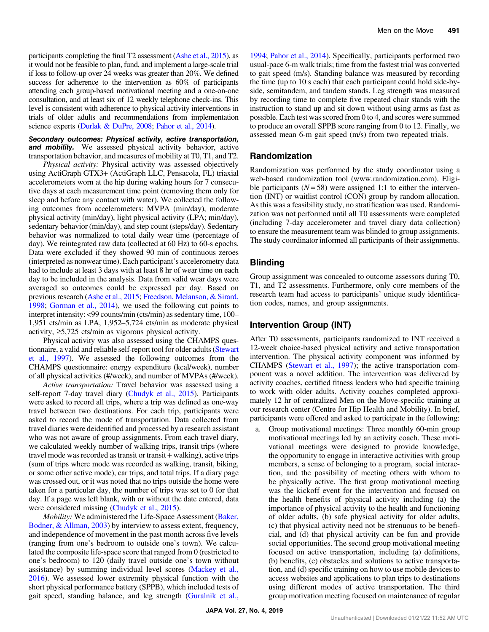participants completing the final T2 assessment [\(Ashe et al., 2015](#page-11-0)), as it would not be feasible to plan, fund, and implement a large-scale trial if loss to follow-up over 24 weeks was greater than 20%. We defined success for adherence to the intervention as 60% of participants attending each group-based motivational meeting and a one-on-one consultation, and at least six of 12 weekly telephone check-ins. This level is consistent with adherence to physical activity interventions in trials of older adults and recommendations from implementation science experts ([Durlak & DuPre, 2008](#page-11-0); [Pahor et al., 2014](#page-12-0)).

#### Secondary outcomes: Physical activity, active transportation, **and mobility.** We assessed physical activity behavior, active transportation behavior, and measures of mobility at T0, T1, and T2.

Physical activity: Physical activity was assessed objectively using ActiGraph GTX3+ (ActiGraph LLC, Pensacola, FL) triaxial accelerometers worn at the hip during waking hours for 7 consecutive days at each measurement time point (removing them only for sleep and before any contact with water). We collected the following outcomes from accelerometers: MVPA (min/day), moderate physical activity (min/day), light physical activity (LPA; min/day), sedentary behavior (min/day), and step count (steps/day). Sedentary behavior was normalized to total daily wear time (percentage of day). We reintegrated raw data (collected at 60 Hz) to 60-s epochs. Data were excluded if they showed 90 min of continuous zeroes (interpreted as nonwear time). Each participant's accelerometry data had to include at least 3 days with at least 8 hr of wear time on each day to be included in the analysis. Data from valid wear days were averaged so outcomes could be expressed per day. Based on previous research [\(Ashe et al., 2015;](#page-11-0) [Freedson, Melanson, & Sirard,](#page-11-0) [1998;](#page-11-0) [Gorman et al., 2014](#page-11-0)), we used the following cut points to interpret intensity: <99 counts/min (cts/min) as sedentary time, 100– 1,951 cts/min as LPA, 1,952–5,724 cts/min as moderate physical activity,  $\geq 5,725$  cts/min as vigorous physical activity.

Physical activity was also assessed using the CHAMPS questionnaire, a valid and reliable self-report tool for older adults [\(Stewart](#page-12-0) [et al., 1997\)](#page-12-0). We assessed the following outcomes from the CHAMPS questionnaire: energy expenditure (kcal/week), number of all physical activities (#/week), and number of MVPAs (#/week).

Active transportation: Travel behavior was assessed using a self-report 7-day travel diary ([Chudyk et al., 2015](#page-11-0)). Participants were asked to record all trips, where a trip was defined as one-way travel between two destinations. For each trip, participants were asked to record the mode of transportation. Data collected from travel diaries were deidentified and processed by a research assistant who was not aware of group assignments. From each travel diary, we calculated weekly number of walking trips, transit trips (where travel mode was recorded as transit or transit + walking), active trips (sum of trips where mode was recorded as walking, transit, biking, or some other active mode), car trips, and total trips. If a diary page was crossed out, or it was noted that no trips outside the home were taken for a particular day, the number of trips was set to 0 for that day. If a page was left blank, with or without the date entered, data were considered missing [\(Chudyk et al., 2015](#page-11-0)).

Mobility: We administered the Life-Space Assessment ([Baker,](#page-11-0) [Bodner, & Allman, 2003](#page-11-0)) by interview to assess extent, frequency, and independence of movement in the past month across five levels (ranging from one's bedroom to outside one's town). We calculated the composite life-space score that ranged from 0 (restricted to one's bedroom) to 120 (daily travel outside one's town without assistance) by summing individual level scores [\(Mackey et al.,](#page-12-0) [2016](#page-12-0)). We assessed lower extremity physical function with the short physical performance battery (SPPB), which included tests of gait speed, standing balance, and leg strength ([Guralnik et al.,](#page-12-0)

[1994](#page-12-0); [Pahor et al., 2014](#page-12-0)). Specifically, participants performed two usual-pace 6-m walk trials; time from the fastest trial was converted to gait speed (m/s). Standing balance was measured by recording the time (up to 10 s each) that each participant could hold side-byside, semitandem, and tandem stands. Leg strength was measured by recording time to complete five repeated chair stands with the instruction to stand up and sit down without using arms as fast as possible. Each test was scored from 0 to 4, and scores were summed to produce an overall SPPB score ranging from 0 to 12. Finally, we assessed mean 6-m gait speed (m/s) from two repeated trials.

### Randomization

Randomization was performed by the study coordinator using a web-based randomization tool (www.randomization.com). Eligible participants ( $N = 58$ ) were assigned 1:1 to either the intervention (INT) or waitlist control (CON) group by random allocation. As this was a feasibility study, no stratification was used. Randomization was not performed until all T0 assessments were completed (including 7-day accelerometer and travel diary data collection) to ensure the measurement team was blinded to group assignments. The study coordinator informed all participants of their assignments.

### Blinding

Group assignment was concealed to outcome assessors during T0, T1, and T2 assessments. Furthermore, only core members of the research team had access to participants' unique study identification codes, names, and group assignments.

# Intervention Group (INT)

After T0 assessments, participants randomized to INT received a 12-week choice-based physical activity and active transportation intervention. The physical activity component was informed by CHAMPS [\(Stewart et al., 1997\)](#page-12-0); the active transportation component was a novel addition. The intervention was delivered by activity coaches, certified fitness leaders who had specific training to work with older adults. Activity coaches completed approximately 12 hr of centralized Men on the Move-specific training at our research center (Centre for Hip Health and Mobility). In brief, participants were offered and asked to participate in the following:

Group motivational meetings: Three monthly 60-min group motivational meetings led by an activity coach. These motivational meetings were designed to provide knowledge, the opportunity to engage in interactive activities with group members, a sense of belonging to a program, social interaction, and the possibility of meeting others with whom to be physically active. The first group motivational meeting was the kickoff event for the intervention and focused on the health benefits of physical activity including (a) the importance of physical activity to the health and functioning of older adults, (b) safe physical activity for older adults, (c) that physical activity need not be strenuous to be beneficial, and (d) that physical activity can be fun and provide social opportunities. The second group motivational meeting focused on active transportation, including (a) definitions, (b) benefits, (c) obstacles and solutions to active transportation, and (d) specific training on how to use mobile devices to access websites and applications to plan trips to destinations using different modes of active transportation. The third group motivation meeting focused on maintenance of regular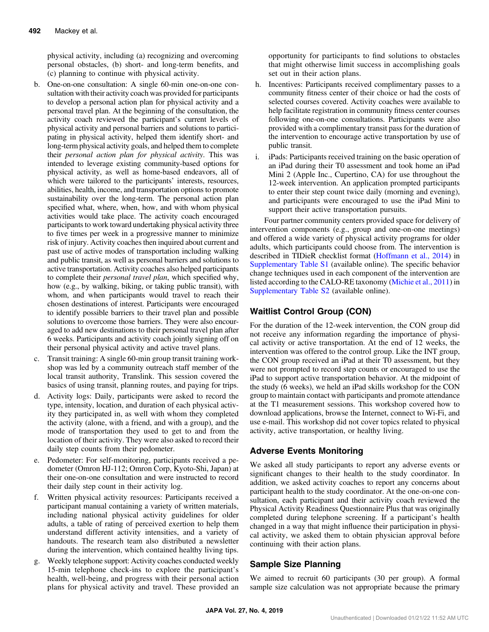physical activity, including (a) recognizing and overcoming personal obstacles, (b) short- and long-term benefits, and (c) planning to continue with physical activity.

- b. One-on-one consultation: A single 60-min one-on-one consultation with their activity coach was provided for participants to develop a personal action plan for physical activity and a personal travel plan. At the beginning of the consultation, the activity coach reviewed the participant's current levels of physical activity and personal barriers and solutions to participating in physical activity, helped them identify short- and long-term physical activity goals, and helped them to complete their personal action plan for physical activity. This was intended to leverage existing community-based options for physical activity, as well as home-based endeavors, all of which were tailored to the participants' interests, resources, abilities, health, income, and transportation options to promote sustainability over the long-term. The personal action plan specified what, where, when, how, and with whom physical activities would take place. The activity coach encouraged participants to work toward undertaking physical activity three to five times per week in a progressive manner to minimize risk of injury. Activity coaches then inquired about current and past use of active modes of transportation including walking and public transit, as well as personal barriers and solutions to active transportation. Activity coaches also helped participants to complete their personal travel plan, which specified why, how (e.g., by walking, biking, or taking public transit), with whom, and when participants would travel to reach their chosen destinations of interest. Participants were encouraged to identify possible barriers to their travel plan and possible solutions to overcome those barriers. They were also encouraged to add new destinations to their personal travel plan after 6 weeks. Participants and activity coach jointly signing off on their personal physical activity and active travel plans.
- c. Transit training: A single 60-min group transit training workshop was led by a community outreach staff member of the local transit authority, Translink. This session covered the basics of using transit, planning routes, and paying for trips.
- d. Activity logs: Daily, participants were asked to record the type, intensity, location, and duration of each physical activity they participated in, as well with whom they completed the activity (alone, with a friend, and with a group), and the mode of transportation they used to get to and from the location of their activity. They were also asked to record their daily step counts from their pedometer.
- e. Pedometer: For self-monitoring, participants received a pedometer (Omron HJ-112; Omron Corp, Kyoto-Shi, Japan) at their one-on-one consultation and were instructed to record their daily step count in their activity log.
- f. Written physical activity resources: Participants received a participant manual containing a variety of written materials, including national physical activity guidelines for older adults, a table of rating of perceived exertion to help them understand different activity intensities, and a variety of handouts. The research team also distributed a newsletter during the intervention, which contained healthy living tips.
- Weekly telephone support: Activity coaches conducted weekly 15-min telephone check-ins to explore the participant's health, well-being, and progress with their personal action plans for physical activity and travel. These provided an

opportunity for participants to find solutions to obstacles that might otherwise limit success in accomplishing goals set out in their action plans.

- h. Incentives: Participants received complimentary passes to a community fitness center of their choice or had the costs of selected courses covered. Activity coaches were available to help facilitate registration in community fitness center courses following one-on-one consultations. Participants were also provided with a complimentary transit pass for the duration of the intervention to encourage active transportation by use of public transit.
- i. iPads: Participants received training on the basic operation of an iPad during their T0 assessment and took home an iPad Mini 2 (Apple Inc., Cupertino, CA) for use throughout the 12-week intervention. An application prompted participants to enter their step count twice daily (morning and evening), and participants were encouraged to use the iPad Mini to support their active transportation pursuits.

Four partner community centers provided space for delivery of intervention components (e.g., group and one-on-one meetings) and offered a wide variety of physical activity programs for older adults, which participants could choose from. The intervention is described in TIDieR checklist format [\(Hoffmann et al., 2014\)](#page-12-0) in [Supplementary Table S1](http://journals.humankinetics.com/doi/10.1123/japa.2018-0137) (available online). The specific behavior change techniques used in each component of the intervention are listed according to the CALO-RE taxonomy [\(Michie et al., 2011](#page-12-0)) in [Supplementary Table S2](http://journals.humankinetics.com/doi/10.1123/japa.2018-0137) (available online).

### Waitlist Control Group (CON)

For the duration of the 12-week intervention, the CON group did not receive any information regarding the importance of physical activity or active transportation. At the end of 12 weeks, the intervention was offered to the control group. Like the INT group, the CON group received an iPad at their T0 assessment, but they were not prompted to record step counts or encouraged to use the iPad to support active transportation behavior. At the midpoint of the study (6 weeks), we held an iPad skills workshop for the CON group to maintain contact with participants and promote attendance at the T1 measurement sessions. This workshop covered how to download applications, browse the Internet, connect to Wi-Fi, and use e-mail. This workshop did not cover topics related to physical activity, active transportation, or healthy living.

### Adverse Events Monitoring

We asked all study participants to report any adverse events or significant changes to their health to the study coordinator. In addition, we asked activity coaches to report any concerns about participant health to the study coordinator. At the one-on-one consultation, each participant and their activity coach reviewed the Physical Activity Readiness Questionnaire Plus that was originally completed during telephone screening. If a participant's health changed in a way that might influence their participation in physical activity, we asked them to obtain physician approval before continuing with their action plans.

# Sample Size Planning

We aimed to recruit 60 participants (30 per group). A formal sample size calculation was not appropriate because the primary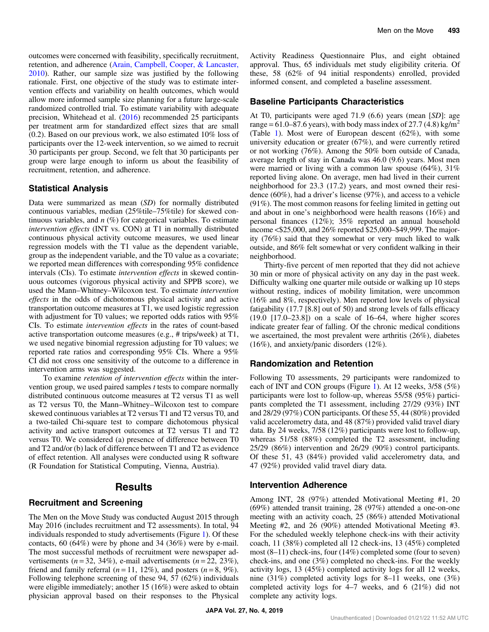outcomes were concerned with feasibility, specifically recruitment, retention, and adherence [\(Arain, Campbell, Cooper, & Lancaster,](#page-11-0) [2010](#page-11-0)). Rather, our sample size was justified by the following rationale. First, one objective of the study was to estimate intervention effects and variability on health outcomes, which would allow more informed sample size planning for a future large-scale randomized controlled trial. To estimate variability with adequate precision, Whitehead et al. [\(2016](#page-13-0)) recommended 25 participants per treatment arm for standardized effect sizes that are small (0.2). Based on our previous work, we also estimated 10% loss of participants over the 12-week intervention, so we aimed to recruit 30 participants per group. Second, we felt that 30 participants per group were large enough to inform us about the feasibility of recruitment, retention, and adherence.

#### Statistical Analysis

Data were summarized as mean (SD) for normally distributed continuous variables, median (25%tile–75%tile) for skewed continuous variables, and  $n$  (%) for categorical variables. To estimate intervention effects (INT vs. CON) at T1 in normally distributed continuous physical activity outcome measures, we used linear regression models with the T1 value as the dependent variable, group as the independent variable, and the T0 value as a covariate; we reported mean differences with corresponding 95% confidence intervals (CIs). To estimate intervention effects in skewed continuous outcomes (vigorous physical activity and SPPB score), we used the Mann–Whitney–Wilcoxon test. To estimate intervention effects in the odds of dichotomous physical activity and active transportation outcome measures at T1, we used logistic regression with adjustment for T0 values; we reported odds ratios with  $95\%$ CIs. To estimate intervention effects in the rates of count-based active transportation outcome measures (e.g., # trips/week) at T1, we used negative binomial regression adjusting for T0 values; we reported rate ratios and corresponding 95% CIs. Where a 95% CI did not cross one sensitivity of the outcome to a difference in intervention arms was suggested.

To examine retention of intervention effects within the intervention group, we used paired samples t tests to compare normally distributed continuous outcome measures at T2 versus T1 as well as T2 versus T0, the Mann–Whitney–Wilcoxon test to compare skewed continuous variables at T2 versus T1 and T2 versus T0, and a two-tailed Chi-square test to compare dichotomous physical activity and active transport outcomes at T2 versus T1 and T2 versus T0. We considered (a) presence of difference between T0 and T2 and/or (b) lack of difference between T1 and T2 as evidence of effect retention. All analyses were conducted using R software (R Foundation for Statistical Computing, Vienna, Austria).

# Results

### Recruitment and Screening

The Men on the Move Study was conducted August 2015 through May 2016 (includes recruitment and T2 assessments). In total, 94 individuals responded to study advertisements (Figure [1\)](#page-5-0). Of these contacts, 60 (64%) were by phone and 34 (36%) were by e-mail. The most successful methods of recruitment were newspaper advertisements ( $n = 32, 34\%$ ), e-mail advertisements ( $n = 22, 23\%$ ), friend and family referral  $(n = 11, 12\%)$ , and posters  $(n = 8, 9\%)$ . Following telephone screening of these 94, 57 (62%) individuals were eligible immediately; another 15 (16%) were asked to obtain physician approval based on their responses to the Physical Activity Readiness Questionnaire Plus, and eight obtained approval. Thus, 65 individuals met study eligibility criteria. Of these, 58 (62% of 94 initial respondents) enrolled, provided informed consent, and completed a baseline assessment.

#### Baseline Participants Characteristics

At T0, participants were aged 71.9 (6.6) years (mean [SD]: age range =  $61.0-87.6$  years), with body mass index of 27.7 (4.8) kg/m<sup>2</sup> (Table [1\)](#page-6-0). Most were of European descent (62%), with some university education or greater (67%), and were currently retired or not working (76%). Among the 50% born outside of Canada, average length of stay in Canada was 46.0 (9.6) years. Most men were married or living with a common law spouse (64%), 31% reported living alone. On average, men had lived in their current neighborhood for 23.3 (17.2) years, and most owned their residence (60%), had a driver's license (97%), and access to a vehicle (91%). The most common reasons for feeling limited in getting out and about in one's neighborhood were health reasons (16%) and personal finances (12%); 35% reported an annual household income <\$25,000, and 26% reported \$25,000–\$49,999. The majority (76%) said that they somewhat or very much liked to walk outside, and 86% felt somewhat or very confident walking in their neighborhood.

Thirty-five percent of men reported that they did not achieve 30 min or more of physical activity on any day in the past week. Difficulty walking one quarter mile outside or walking up 10 steps without resting, indices of mobility limitation, were uncommon (16% and 8%, respectively). Men reported low levels of physical fatigability (17.7 [8.8] out of 50) and strong levels of falls efficacy (19.0 [17.0–23.8]) on a scale of 16–64, where higher scores indicate greater fear of falling. Of the chronic medical conditions we ascertained, the most prevalent were arthritis (26%), diabetes (16%), and anxiety/panic disorders (12%).

### Randomization and Retention

Following T0 assessments, 29 participants were randomized to each of INT and CON groups (Figure [1\)](#page-5-0). At 12 weeks, 3/58 (5%) participants were lost to follow-up, whereas 55/58 (95%) participants completed the T1 assessment, including 27/29 (93%) INT and 28/29 (97%) CON participants. Of these 55, 44 (80%) provided valid accelerometry data, and 48 (87%) provided valid travel diary data. By 24 weeks, 7/58 (12%) participants were lost to follow-up, whereas 51/58 (88%) completed the T2 assessment, including 25/29 (86%) intervention and 26/29 (90%) control participants. Of these 51, 43 (84%) provided valid accelerometry data, and 47 (92%) provided valid travel diary data.

#### Intervention Adherence

Among INT, 28 (97%) attended Motivational Meeting #1, 20 (69%) attended transit training, 28 (97%) attended a one-on-one meeting with an activity coach, 25 (86%) attended Motivational Meeting #2, and 26 (90%) attended Motivational Meeting #3. For the scheduled weekly telephone check-ins with their activity coach, 11 (38%) completed all 12 check-ins, 13 (45%) completed most (8–11) check-ins, four (14%) completed some (four to seven) check-ins, and one (3%) completed no check-ins. For the weekly activity logs, 13 (45%) completed activity logs for all 12 weeks, nine (31%) completed activity logs for 8–11 weeks, one (3%) completed activity logs for 4–7 weeks, and 6 (21%) did not complete any activity logs.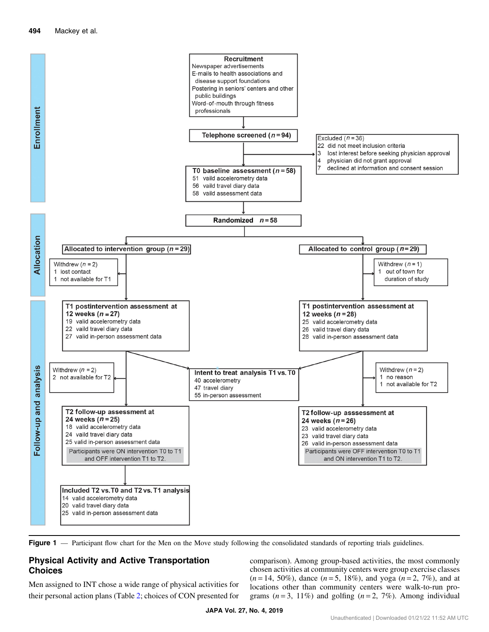<span id="page-5-0"></span>

Figure 1 — Participant flow chart for the Men on the Move study following the consolidated standards of reporting trials guidelines.

# Physical Activity and Active Transportation Choices

Men assigned to INT chose a wide range of physical activities for their personal action plans (Table [2;](#page-7-0) choices of CON presented for comparison). Among group-based activities, the most commonly chosen activities at community centers were group exercise classes  $(n = 14, 50\%)$ , dance  $(n = 5, 18\%)$ , and yoga  $(n = 2, 7\%)$ , and at locations other than community centers were walk-to-run programs  $(n=3, 11\%)$  and golfing  $(n=2, 7\%)$ . Among individual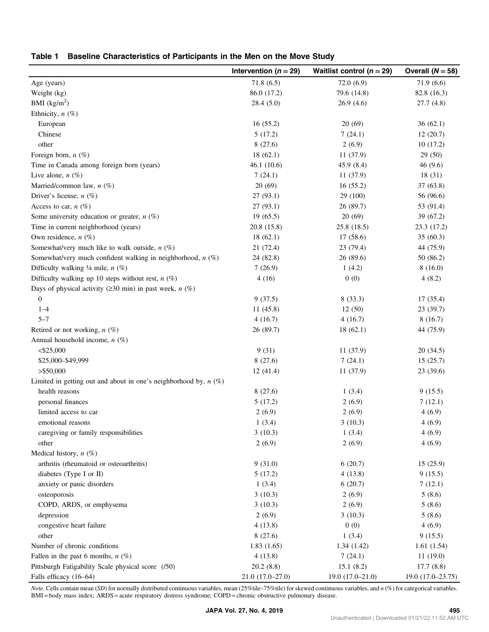<span id="page-6-0"></span>

|  | Table 1 Baseline Characteristics of Participants in the Men on the Move Study |  |  |  |
|--|-------------------------------------------------------------------------------|--|--|--|
|--|-------------------------------------------------------------------------------|--|--|--|

|                                                                       | Intervention ( $n = 29$ ) | Waitlist control ( $n = 29$ ) | Overall $(N = 58)$ |
|-----------------------------------------------------------------------|---------------------------|-------------------------------|--------------------|
| Age (years)                                                           | 71.8(6.5)                 | 72.0(6.9)                     | 71.9(6.6)          |
| Weight (kg)                                                           | 86.0 (17.2)               | 79.6 (14.8)                   | 82.8 (16.3)        |
| BMI $(kg/m2)$                                                         | 28.4(5.0)                 | 26.9(4.6)                     | 27.7(4.8)          |
| Ethnicity, $n$ (%)                                                    |                           |                               |                    |
| European                                                              | 16(55.2)                  | 20(69)                        | 36(62.1)           |
| Chinese                                                               | 5(17.2)                   | 7(24.1)                       | 12(20.7)           |
| other                                                                 | 8(27.6)                   | 2(6.9)                        | 10(17.2)           |
| Foreign born, $n$ (%)                                                 | 18(62.1)                  | 11 (37.9)                     | 29(50)             |
| Time in Canada among foreign born (years)                             | 46.1(10.6)                | 45.9 (8.4)                    | 46(9.6)            |
| Live alone, $n(\%)$                                                   | 7(24.1)                   | 11(37.9)                      | 18(31)             |
| Married/common law, $n$ (%)                                           | 20(69)                    | 16(55.2)                      | 37 (63.8)          |
| Driver's license, $n$ (%)                                             | 27(93.1)                  | 29 (100)                      | 56 (96.6)          |
| Access to car, $n$ (%)                                                | 27(93.1)                  | 26 (89.7)                     | 53 (91.4)          |
| Some university education or greater, $n$ (%)                         | 19(65.5)                  | 20(69)                        | 39 (67.2)          |
| Time in current neighborhood (years)                                  | 20.8 (15.8)               | 25.8(18.5)                    | 23.3 (17.2)        |
| Own residence, $n$ (%)                                                | 18(62.1)                  | 17(58.6)                      | 35(60.3)           |
| Somewhat/very much like to walk outside, $n$ (%)                      | 21 (72.4)                 | 23 (79.4)                     | 44 (75.9)          |
| Somewhat/very much confident walking in neighborhood, $n$ (%)         | 24 (82.8)                 | 26 (89.6)                     | 50 (86.2)          |
| Difficulty walking $\frac{1}{4}$ mile, $n(\%)$                        | 7(26.9)                   | 1(4.2)                        | 8(16.0)            |
| Difficulty walking up 10 steps without rest, $n$ (%)                  | 4(16)                     | 0(0)                          | 4(8.2)             |
| Days of physical activity ( $\geq$ 30 min) in past week, <i>n</i> (%) |                           |                               |                    |
| $\overline{0}$                                                        | 9(37.5)                   | 8(33.3)                       | 17 (35.4)          |
| $1 - 4$                                                               | 11(45.8)                  | 12(50)                        | 23 (39.7)          |
| $5 - 7$                                                               | 4(16.7)                   | 4(16.7)                       | 8(16.7)            |
| Retired or not working, $n$ (%)                                       | 26 (89.7)                 | 18(62.1)                      | 44 (75.9)          |
| Annual household income, $n$ (%)                                      |                           |                               |                    |
| $<$ \$25,000                                                          | 9(31)                     | 11 (37.9)                     | 20(34.5)           |
| \$25,000-\$49,999                                                     | 8(27.6)                   | 7(24.1)                       | 15(25.7)           |
| $>$ \$50,000                                                          | 12(41.4)                  | 11 (37.9)                     | 23 (39.6)          |
| Limited in getting out and about in one's neighborhood by, $n(\%)$    |                           |                               |                    |
| health reasons                                                        | 8(27.6)                   | 1(3.4)                        | 9(15.5)            |
| personal finances                                                     | 5(17.2)                   | 2(6.9)                        | 7(12.1)            |
| limited access to car                                                 | 2(6.9)                    | 2(6.9)                        | 4(6.9)             |
| emotional reasons                                                     | 1(3.4)                    | 3(10.3)                       | 4(6.9)             |
| caregiving or family responsibilities                                 | 3(10.3)                   | 1(3.4)                        | 4(6.9)             |
| other                                                                 | 2(6.9)                    | 2(6.9)                        | 4(6.9)             |
| Medical history, $n$ (%)                                              |                           |                               |                    |
| arthritis (rheumatoid or osteoarthritis)                              | 9(31.0)                   | 6(20.7)                       | 15(25.9)           |
| diabetes (Type I or II)                                               | 5(17.2)                   | 4(13.8)                       | 9(15.5)            |
| anxiety or panic disorders                                            | 1(3.4)                    | 6(20.7)                       | 7(12.1)            |
| osteoporosis                                                          | 3(10.3)                   | 2(6.9)                        | 5(8.6)             |
| COPD, ARDS, or emphysema                                              | 3(10.3)                   | 2(6.9)                        | 5(8.6)             |
| depression                                                            | 2(6.9)                    | 3(10.3)                       | 5(8.6)             |
| congestive heart failure                                              | 4(13.8)                   | 0(0)                          | 4(6.9)             |
| other                                                                 | 8(27.6)                   | 1(3.4)                        | 9(15.5)            |
| Number of chronic conditions                                          | 1.83(1.65)                | 1.34(1.42)                    | 1.61(1.54)         |
| Fallen in the past 6 months, $n$ (%)                                  | 4(13.8)                   | 7(24.1)                       | 11(19.0)           |
| Pittsburgh Fatigability Scale physical score (/50)                    | 20.2(8.8)                 | 15.1(8.2)                     | 17.7(8.8)          |
| Falls efficacy (16-64)                                                | $21.0(17.0-27.0)$         | $19.0(17.0-21.0)$             | $19.0(17.0-23.75)$ |

Note. Cells contain mean (SD) for normally distributed continuous variables, mean (25%tile–75%tile) for skewed continuous variables, and  $n$  (%) for categorical variables. BMI = body mass index; ARDS = acute respiratory distress syndrome; COPD = chronic obstructive pulmonary disease.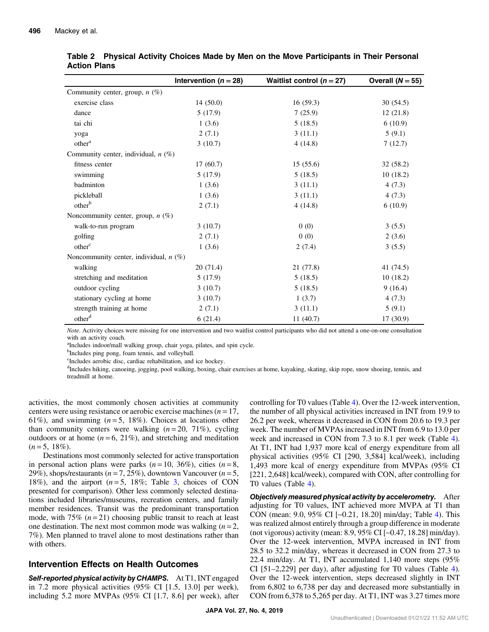|                                          | Intervention ( $n = 28$ ) | Waitlist control ( $n = 27$ ) | Overall $(N = 55)$ |
|------------------------------------------|---------------------------|-------------------------------|--------------------|
| Community center, group, $n$ (%)         |                           |                               |                    |
| exercise class                           | 14(50.0)                  | 16(59.3)                      | 30(54.5)           |
| dance                                    | 5(17.9)                   | 7(25.9)                       | 12(21.8)           |
| tai chi                                  | 1(3.6)                    | 5(18.5)                       | 6(10.9)            |
| yoga                                     | 2(7.1)                    | 3(11.1)                       | 5(9.1)             |
| other <sup>a</sup>                       | 3(10.7)                   | 4(14.8)                       | 7(12.7)            |
| Community center, individual, $n$ (%)    |                           |                               |                    |
| fitness center                           | 17(60.7)                  | 15(55.6)                      | 32 (58.2)          |
| swimming                                 | 5(17.9)                   | 5(18.5)                       | 10(18.2)           |
| badminton                                | 1(3.6)                    | 3(11.1)                       | 4(7.3)             |
| pickleball                               | 1(3.6)                    | 3(11.1)                       | 4(7.3)             |
| other <sup>b</sup>                       | 2(7.1)                    | 4(14.8)                       | 6(10.9)            |
| Noncommunity center, group, $n$ (%)      |                           |                               |                    |
| walk-to-run program                      | 3(10.7)                   | 0(0)                          | 3(5.5)             |
| golfing                                  | 2(7.1)                    | 0(0)                          | 2(3.6)             |
| other <sup>c</sup>                       | 1(3.6)                    | 2(7.4)                        | 3(5.5)             |
| Noncommunity center, individual, $n$ (%) |                           |                               |                    |
| walking                                  | 20(71.4)                  | 21 (77.8)                     | 41 (74.5)          |
| stretching and meditation                | 5(17.9)                   | 5(18.5)                       | 10(18.2)           |
| outdoor cycling                          | 3(10.7)                   | 5(18.5)                       | 9(16.4)            |
| stationary cycling at home               | 3(10.7)                   | 1(3.7)                        | 4(7.3)             |
| strength training at home                | 2(7.1)                    | 3(11.1)                       | 5(9.1)             |
| other <sup>d</sup>                       | 6(21.4)                   | 11(40.7)                      | 17 (30.9)          |

<span id="page-7-0"></span>Table 2 Physical Activity Choices Made by Men on the Move Participants in Their Personal Action Plans

Note. Activity choices were missing for one intervention and two waitlist control participants who did not attend a one-on-one consultation with an activity coach.

<sup>a</sup>Includes indoor/mall walking group, chair yoga, pilates, and spin cycle.

<sup>b</sup>Includes ping pong, foam tennis, and volleyball.

c Includes aerobic disc, cardiac rehabilitation, and ice hockey.

<sup>d</sup>Includes hiking, canoeing, jogging, pool walking, boxing, chair exercises at home, kayaking, skating, skip rope, snow shoeing, tennis, and treadmill at home.

activities, the most commonly chosen activities at community centers were using resistance or aerobic exercise machines ( $n = 17$ , 61%), and swimming  $(n=5, 18\%)$ . Choices at locations other than community centers were walking  $(n=20, 71\%)$ , cycling outdoors or at home  $(n = 6, 21\%)$ , and stretching and meditation  $(n=5, 18\%).$ 

Destinations most commonly selected for active transportation in personal action plans were parks  $(n = 10, 36\%)$ , cities  $(n = 8, 1)$ 29%), shops/restaurants ( $n = 7, 25\%$ ), downtown Vancouver ( $n = 5$ , 18%), and the airport  $(n=5, 18\%;$  Table [3](#page-8-0), choices of CON presented for comparison). Other less commonly selected destinations included libraries/museums, recreation centers, and family member residences. Transit was the predominant transportation mode, with 75%  $(n=21)$  choosing public transit to reach at least one destination. The next most common mode was walking  $(n=2,$ 7%). Men planned to travel alone to most destinations rather than with others.

#### Intervention Effects on Health Outcomes

Self-reported physical activity by CHAMPS. At T1, INT engaged in 7.2 more physical activities (95% CI [1.5, 13.0] per week), including 5.2 more MVPAs (95% CI [1.7, 8.6] per week), after controlling for T0 values (Table [4](#page-9-0)). Over the 12-week intervention, the number of all physical activities increased in INT from 19.9 to 26.2 per week, whereas it decreased in CON from 20.6 to 19.3 per week. The number of MVPAs increased in INT from 6.9 to 13.0 per week and increased in CON from 7.3 to 8.1 per week (Table [4](#page-9-0)). At T1, INT had 1,937 more kcal of energy expenditure from all physical activities (95% CI [290, 3,584] kcal/week), including 1,493 more kcal of energy expenditure from MVPAs (95% CI [221, 2,648] kcal/week), compared with CON, after controlling for T0 values (Table [4](#page-9-0)).

Objectively measured physical activity by accelerometry. After adjusting for T0 values, INT achieved more MVPA at T1 than CON (mean: 9.0, 95% CI [−0.21, 18.20] min/day; Table [4\)](#page-9-0). This was realized almost entirely through a group difference in moderate (not vigorous) activity (mean: 8.9, 95% CI [−0.47, 18.28] min/day). Over the 12-week intervention, MVPA increased in INT from 28.5 to 32.2 min/day, whereas it decreased in CON from 27.3 to 22.4 min/day. At T1, INT accumulated 1,140 more steps (95% CI [51–2,229] per day), after adjusting for T0 values (Table [4](#page-9-0)). Over the 12-week intervention, steps decreased slightly in INT from 6,802 to 6,738 per day and decreased more substantially in CON from 6,378 to 5,265 per day. At T1, INT was 3.27 times more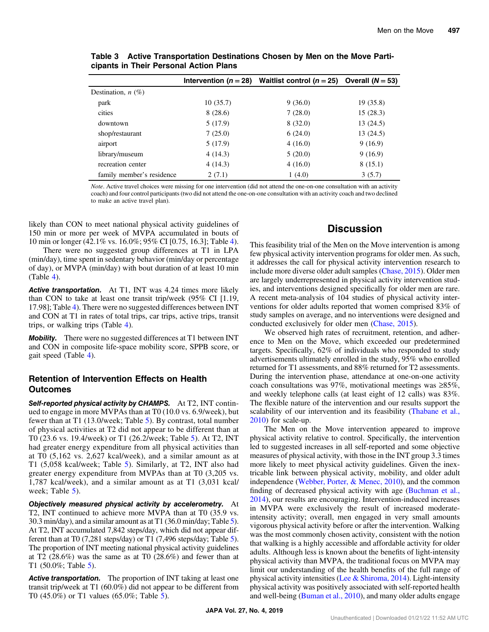|                           |          | Intervention ( $n = 28$ ) Waitlist control ( $n = 25$ ) Overall ( $N = 53$ ) |           |
|---------------------------|----------|------------------------------------------------------------------------------|-----------|
| Destination, $n$ (%)      |          |                                                                              |           |
| park                      | 10(35.7) | 9(36.0)                                                                      | 19 (35.8) |
| cities                    | 8(28.6)  | 7(28.0)                                                                      | 15(28.3)  |
| downtown                  | 5 (17.9) | 8(32.0)                                                                      | 13(24.5)  |
| shop/restaurant           | 7(25.0)  | 6(24.0)                                                                      | 13(24.5)  |
| airport                   | 5 (17.9) | 4(16.0)                                                                      | 9(16.9)   |
| library/museum            | 4(14.3)  | 5(20.0)                                                                      | 9(16.9)   |
| recreation center         | 4(14.3)  | 4(16.0)                                                                      | 8(15.1)   |
| family member's residence | 2(7.1)   | 1(4.0)                                                                       | 3(5.7)    |

<span id="page-8-0"></span>Table 3 Active Transportation Destinations Chosen by Men on the Move Participants in Their Personal Action Plans

Note. Active travel choices were missing for one intervention (did not attend the one-on-one consultation with an activity coach) and four control participants (two did not attend the one-on-one consultation with an activity coach and two declined to make an active travel plan).

likely than CON to meet national physical activity guidelines of 150 min or more per week of MVPA accumulated in bouts of 10 min or longer (42.1% vs. 16.0%; 95% CI [0.75, 16.3]; Table [4](#page-9-0)).

There were no suggested group differences at T1 in LPA (min/day), time spent in sedentary behavior (min/day or percentage of day), or MVPA (min/day) with bout duration of at least 10 min (Table [4](#page-9-0)).

Active transportation. At T1, INT was 4.24 times more likely than CON to take at least one transit trip/week (95% CI [1.19, 17.98]; Table [4\)](#page-9-0). There were no suggested differences between INT and CON at T1 in rates of total trips, car trips, active trips, transit trips, or walking trips (Table [4](#page-9-0)).

Mobility. There were no suggested differences at T1 between INT and CON in composite life-space mobility score, SPPB score, or gait speed (Table [4](#page-9-0)).

### Retention of Intervention Effects on Health **Outcomes**

Self-reported physical activity by CHAMPS. At T2, INT continued to engage in more MVPAs than at T0 (10.0 vs. 6.9/week), but fewer than at T1 (13.0/week; Table [5](#page-10-0)). By contrast, total number of physical activities at T2 did not appear to be different than at T0 (23.6 vs. 19.4/week) or T1 (26.2/week; Table [5](#page-10-0)). At T2, INT had greater energy expenditure from all physical activities than at T0 (5,162 vs. 2,627 kcal/week), and a similar amount as at T1 (5,058 kcal/week; Table [5](#page-10-0)). Similarly, at T2, INT also had greater energy expenditure from MVPAs than at T0 (3,205 vs. 1,787 kcal/week), and a similar amount as at T1 (3,031 kcal/ week; Table [5](#page-10-0)).

Objectively measured physical activity by accelerometry. At T2, INT continued to achieve more MVPA than at T0 (35.9 vs. 30.3 min/day), and a similar amount as at T1 (36.0 min/day; Table [5](#page-10-0)). At T2, INT accumulated 7,842 steps/day, which did not appear different than at T0 (7,281 steps/day) or T1 (7,496 steps/day; Table [5](#page-10-0)). The proportion of INT meeting national physical activity guidelines at T2 (28.6%) was the same as at T0 (28.6%) and fewer than at T1 (50.0%; Table [5\)](#page-10-0).

Active transportation. The proportion of INT taking at least one transit trip/week at T1 (60.0%) did not appear to be different from T0 (45.0%) or T1 values (65.0%; Table [5](#page-10-0)).

# **Discussion**

This feasibility trial of the Men on the Move intervention is among few physical activity intervention programs for older men. As such, it addresses the call for physical activity intervention research to include more diverse older adult samples [\(Chase, 2015\)](#page-11-0). Older men are largely underrepresented in physical activity intervention studies, and interventions designed specifically for older men are rare. A recent meta-analysis of 104 studies of physical activity interventions for older adults reported that women comprised 83% of study samples on average, and no interventions were designed and conducted exclusively for older men ([Chase, 2015\)](#page-11-0).

We observed high rates of recruitment, retention, and adherence to Men on the Move, which exceeded our predetermined targets. Specifically, 62% of individuals who responded to study advertisements ultimately enrolled in the study, 95% who enrolled returned for T1 assessments, and 88% returned for T2 assessments. During the intervention phase, attendance at one-on-one activity coach consultations was 97%, motivational meetings was ≥85%, and weekly telephone calls (at least eight of 12 calls) was 83%. The flexible nature of the intervention and our results support the scalability of our intervention and its feasibility [\(Thabane et al.,](#page-12-0) [2010](#page-12-0)) for scale-up.

The Men on the Move intervention appeared to improve physical activity relative to control. Specifically, the intervention led to suggested increases in all self-reported and some objective measures of physical activity, with those in the INT group 3.3 times more likely to meet physical activity guidelines. Given the inextricable link between physical activity, mobility, and older adult independence [\(Webber, Porter, & Menec, 2010](#page-13-0)), and the common finding of decreased physical activity with age [\(Buchman et al.,](#page-11-0) [2014](#page-11-0)), our results are encouraging. Intervention-induced increases in MVPA were exclusively the result of increased moderateintensity activity; overall, men engaged in very small amounts vigorous physical activity before or after the intervention. Walking was the most commonly chosen activity, consistent with the notion that walking is a highly accessible and affordable activity for older adults. Although less is known about the benefits of light-intensity physical activity than MVPA, the traditional focus on MVPA may limit our understanding of the health benefits of the full range of physical activity intensities ([Lee & Shiroma, 2014](#page-12-0)). Light-intensity physical activity was positively associated with self-reported health and well-being [\(Buman et al., 2010](#page-11-0)), and many older adults engage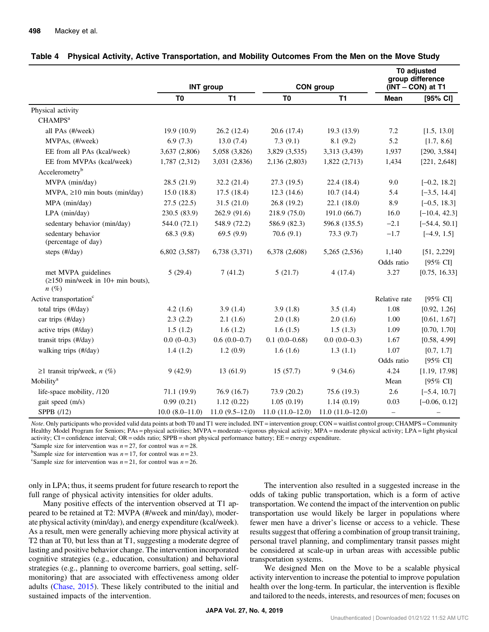|                                                                                                    | <b>INT</b> group    |                  |                   |                   | T0 adjusted<br>group difference |                     |
|----------------------------------------------------------------------------------------------------|---------------------|------------------|-------------------|-------------------|---------------------------------|---------------------|
|                                                                                                    |                     |                  | <b>CON</b> group  |                   | (INT - CON) at T1               |                     |
|                                                                                                    | T <sub>0</sub>      | T1               | T <sub>0</sub>    | T1                | <b>Mean</b>                     | [95% CI]            |
| Physical activity                                                                                  |                     |                  |                   |                   |                                 |                     |
| CHAMPS <sup>a</sup>                                                                                |                     |                  |                   |                   |                                 |                     |
| all PAs (#/week)                                                                                   | 19.9(10.9)          | 26.2(12.4)       | 20.6 (17.4)       | 19.3(13.9)        | 7.2                             | [1.5, 13.0]         |
| MVPAs, (#/week)                                                                                    | 6.9(7.3)            | 13.0(7.4)        | 7.3(9.1)          | 8.1(9.2)          | 5.2                             | [1.7, 8.6]          |
| EE from all PAs (kcal/week)                                                                        | 3,637 (2,806)       | 5,058 (3,826)    | 3,829 (3,535)     | 3,313 (3,439)     | 1,937                           | [290, 3,584]        |
| EE from MVPAs (kcal/week)                                                                          | 1,787 (2,312)       | 3,031 (2,836)    | 2,136 (2,803)     | 1,822(2,713)      | 1,434                           | [221, 2,648]        |
| Accelerometry <sup>b</sup>                                                                         |                     |                  |                   |                   |                                 |                     |
| MVPA (min/day)                                                                                     | 28.5 (21.9)         | 32.2 (21.4)      | 27.3(19.5)        | 22.4 (18.4)       | 9.0                             | $[-0.2, 18.2]$      |
| MVPA, ≥10 min bouts (min/day)                                                                      | 15.0(18.8)          | 17.5(18.4)       | 12.3(14.6)        | 10.7(14.4)        | 5.4                             | $[-3.5, 14.4]$      |
| MPA (min/day)                                                                                      | 27.5(22.5)          | 31.5(21.0)       | 26.8 (19.2)       | 22.1(18.0)        | 8.9                             | $[-0.5, 18.3]$      |
| LPA (min/day)                                                                                      | 230.5 (83.9)        | 262.9 (91.6)     | 218.9 (75.0)      | 191.0(66.7)       | 16.0                            | $[-10.4, 42.3]$     |
| sedentary behavior (min/day)                                                                       | 544.0 (72.1)        | 548.9 (72.2)     | 586.9 (82.3)      | 596.8 (135.5)     | $-2.1$                          | $[-54.4, 50.1]$     |
| sedentary behavior<br>(percentage of day)                                                          | 68.3 (9.8)          | 69.5(9.9)        | 70.6(9.1)         | 73.3(9.7)         | $-1.7$                          | $[-4.9, 1.5]$       |
| steps (#/day)                                                                                      | 6,802 (3,587)       | 6,738 (3,371)    | 6,378 (2,608)     | 5,265 (2,536)     | 1,140                           | [51, 2, 229]        |
|                                                                                                    |                     |                  |                   |                   | Odds ratio                      | $[95\% \text{ CI}]$ |
| met MVPA guidelines<br>$(\geq 150 \text{ min/week in } 10+ \text{ min} \text{ bouts}),$<br>$n(\%)$ | 5(29.4)             | 7(41.2)          | 5(21.7)           | 4(17.4)           | 3.27                            | [0.75, 16.33]       |
| Active transportation <sup>c</sup>                                                                 |                     |                  |                   |                   | Relative rate                   | $[95\% \text{ CI}]$ |
| total trips (#/day)                                                                                | 4.2 $(1.6)$         | 3.9(1.4)         | 3.9(1.8)          | 3.5(1.4)          | 1.08                            | [0.92, 1.26]        |
| car trips (#/day)                                                                                  | 2.3(2.2)            | 2.1(1.6)         | 2.0(1.8)          | 2.0(1.6)          | 1.00                            | [0.61, 1.67]        |
| active trips (#/day)                                                                               | 1.5(1.2)            | 1.6(1.2)         | 1.6(1.5)          | 1.5(1.3)          | 1.09                            | [0.70, 1.70]        |
| transit trips (#/day)                                                                              | $0.0(0-0.3)$        | $0.6(0.0-0.7)$   | $0.1(0.0-0.68)$   | $0.0(0.0-0.3)$    | 1.67                            | [0.58, 4.99]        |
| walking trips (#/day)                                                                              | 1.4(1.2)            | 1.2(0.9)         | 1.6(1.6)          | 1.3(1.1)          | 1.07                            | [0.7, 1.7]          |
|                                                                                                    |                     |                  |                   |                   | Odds ratio                      | $[95\% \text{ CI}]$ |
| ≥1 transit trip/week, $n$ (%)                                                                      | 9(42.9)             | 13 (61.9)        | 15(57.7)          | 9(34.6)           | 4.24                            | [1.19, 17.98]       |
| Mobility <sup>a</sup>                                                                              |                     |                  |                   |                   | Mean                            | $[95\% \text{ CI}]$ |
| life-space mobility, /120                                                                          | 71.1 (19.9)         | 76.9 (16.7)      | 73.9 (20.2)       | 75.6 (19.3)       | 2.6                             | $[-5.4, 10.7]$      |
| gait speed (m/s)                                                                                   | 0.99(0.21)          | 1.12(0.22)       | 1.05(0.19)        | 1.14(0.19)        | 0.03                            | $[-0.06, 0.12]$     |
| SPPB $(12)$                                                                                        | $10.0 (8.0 - 11.0)$ | $11.0(9.5-12.0)$ | $11.0(11.0-12.0)$ | $11.0(11.0-12.0)$ | $\overline{\phantom{0}}$        | $\qquad \qquad -$   |

<span id="page-9-0"></span>

Note. Only participants who provided valid data points at both T0 and T1 were included. INT = intervention group; CON = waitlist control group; CHAMPS = Community Healthy Model Program for Seniors; PAs = physical activities; MVPA = moderate–vigorous physical activity; MPA = moderate physical activity; LPA = light physical activity;  $CI =$  confidence interval;  $OR =$  odds ratio;  $SPPB =$  short physical performance battery;  $EE =$  energy expenditure.

<sup>a</sup>Sample size for intervention was  $n = 27$ , for control was  $n = 28$ .

<sup>b</sup>Sample size for intervention was  $n = 17$ , for control was  $n = 23$ .

<sup>c</sup>Sample size for intervention was  $n = 21$ , for control was  $n = 26$ .

only in LPA; thus, it seems prudent for future research to report the full range of physical activity intensities for older adults.

Many positive effects of the intervention observed at T1 appeared to be retained at T2: MVPA (#/week and min/day), moderate physical activity (min/day), and energy expenditure (kcal/week). As a result, men were generally achieving more physical activity at T2 than at T0, but less than at T1, suggesting a moderate degree of lasting and positive behavior change. The intervention incorporated cognitive strategies (e.g., education, consultation) and behavioral strategies (e.g., planning to overcome barriers, goal setting, selfmonitoring) that are associated with effectiveness among older adults ([Chase, 2015\)](#page-11-0). These likely contributed to the initial and sustained impacts of the intervention.

The intervention also resulted in a suggested increase in the odds of taking public transportation, which is a form of active transportation. We contend the impact of the intervention on public transportation use would likely be larger in populations where fewer men have a driver's license or access to a vehicle. These results suggest that offering a combination of group transit training, personal travel planning, and complimentary transit passes might be considered at scale-up in urban areas with accessible public transportation systems.

We designed Men on the Move to be a scalable physical activity intervention to increase the potential to improve population health over the long-term. In particular, the intervention is flexible and tailored to the needs, interests, and resources of men; focuses on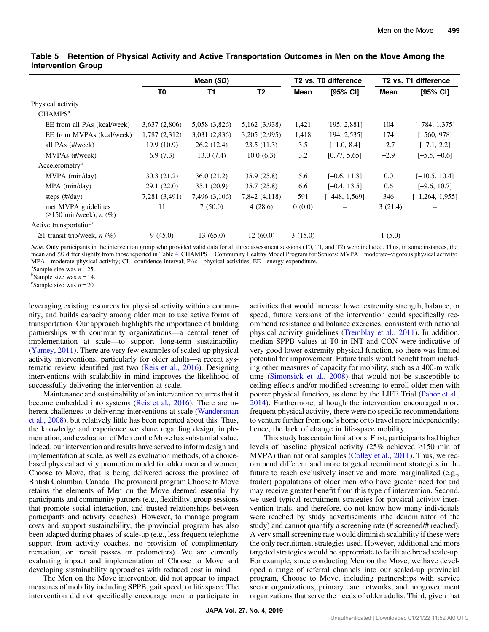|                                                        | Mean (SD)      |               | T <sub>2</sub> vs. T <sub>0</sub> difference |         | T <sub>2</sub> vs. T <sub>1</sub> difference |            |                     |
|--------------------------------------------------------|----------------|---------------|----------------------------------------------|---------|----------------------------------------------|------------|---------------------|
|                                                        | T <sub>0</sub> | T1            | T <sub>2</sub>                               | Mean    | [95% CI]                                     | Mean       | $[95%$ CI]          |
| Physical activity                                      |                |               |                                              |         |                                              |            |                     |
| CHAMPS <sup>a</sup>                                    |                |               |                                              |         |                                              |            |                     |
| EE from all PAs (kcal/week)                            | 3,637 (2,806)  | 5,058 (3,826) | 5,162 (3,938)                                | 1,421   | [195, 2,881]                                 | 104        | $[-784, 1,375]$     |
| EE from MVPAs (kcal/week)                              | 1,787 (2,312)  | 3,031 (2,836) | 3,205(2,995)                                 | 1,418   | [194, 2, 535]                                | 174        | $[-560, 978]$       |
| all PAs (#/week)                                       | 19.9(10.9)     | 26.2(12.4)    | 23.5(11.3)                                   | 3.5     | $[-1.0, 8.4]$                                | $-2.7$     | $[-7.1, 2.2]$       |
| MVPAs (#/week)                                         | 6.9(7.3)       | 13.0(7.4)     | 10.0(6.3)                                    | 3.2     | [0.77, 5.65]                                 | $-2.9$     | $[-5.5, -0.6]$      |
| Accelerometry <sup>b</sup>                             |                |               |                                              |         |                                              |            |                     |
| MVPA (min/day)                                         | 30.3(21.2)     | 36.0(21.2)    | 35.9(25.8)                                   | 5.6     | $[-0.6, 11.8]$                               | 0.0        | $[-10.5, 10.4]$     |
| $MPA$ (min/day)                                        | 29.1 (22.0)    | 35.1(20.9)    | 35.7(25.8)                                   | 6.6     | $[-0.4, 13.5]$                               | 0.6        | $[-9.6, 10.7]$      |
| steps $(\text{\#}/day)$                                | 7,281 (3,491)  | 7,496 (3,106) | 7,842 (4,118)                                | 591     | $[-448, 1,569]$                              | 346        | $[-1, 264, 1, 955]$ |
| met MVPA guidelines<br>$(\geq 150$ min/week), n $(\%)$ | 11             | 7(50.0)       | 4(28.6)                                      | 0(0.0)  |                                              | $-3(21.4)$ |                     |
| Active transportation <sup>c</sup>                     |                |               |                                              |         |                                              |            |                     |
| $\geq$ 1 transit trip/week, <i>n</i> (%)               | 9(45.0)        | 13(65.0)      | 12(60.0)                                     | 3(15.0) |                                              | $-1(5.0)$  |                     |

#### <span id="page-10-0"></span>Table 5 Retention of Physical Activity and Active Transportation Outcomes in Men on the Move Among the Intervention Group

Note. Only participants in the intervention group who provided valid data for all three assessment sessions (T0, T1, and T2) were included. Thus, in some instances, the mean and SD differ slightly from those reported in Table [4](#page-9-0). CHAMPS = Community Healthy Model Program for Seniors; MVPA = moderate–vigorous physical activity;  $MPA =$  moderate physical activity;  $CI =$  confidence interval;  $PAs =$  physical activities;  $EE =$  energy expenditure.

<sup>a</sup>Sample size was  $n = 25$ .

<sup>b</sup>Sample size was  $n = 14$ .

<sup>c</sup>Sample size was  $n = 20$ .

leveraging existing resources for physical activity within a community, and builds capacity among older men to use active forms of transportation. Our approach highlights the importance of building partnerships with community organizations—a central tenet of implementation at scale—to support long-term sustainability [\(Yamey, 2011](#page-13-0)). There are very few examples of scaled-up physical activity interventions, particularly for older adults—a recent systematic review identified just two ([Reis et al., 2016\)](#page-12-0). Designing interventions with scalability in mind improves the likelihood of successfully delivering the intervention at scale.

Maintenance and sustainability of an intervention requires that it become embedded into systems [\(Reis et al., 2016](#page-12-0)). There are inherent challenges to delivering interventions at scale ([Wandersman](#page-13-0) [et al., 2008\)](#page-13-0), but relatively little has been reported about this. Thus, the knowledge and experience we share regarding design, implementation, and evaluation of Men on the Move has substantial value. Indeed, our intervention and results have served to inform design and implementation at scale, as well as evaluation methods, of a choicebased physical activity promotion model for older men and women, Choose to Move, that is being delivered across the province of British Columbia, Canada. The provincial program Choose to Move retains the elements of Men on the Move deemed essential by participants and community partners (e.g., flexibility, group sessions that promote social interaction, and trusted relationships between participants and activity coaches). However, to manage program costs and support sustainability, the provincial program has also been adapted during phases of scale-up (e.g., less frequent telephone support from activity coaches, no provision of complimentary recreation, or transit passes or pedometers). We are currently evaluating impact and implementation of Choose to Move and developing sustainability approaches with reduced cost in mind.

The Men on the Move intervention did not appear to impact measures of mobility including SPPB, gait speed, or life space. The intervention did not specifically encourage men to participate in activities that would increase lower extremity strength, balance, or speed; future versions of the intervention could specifically recommend resistance and balance exercises, consistent with national physical activity guidelines ([Tremblay et al., 2011\)](#page-12-0). In addition, median SPPB values at T0 in INT and CON were indicative of very good lower extremity physical function, so there was limited potential for improvement. Future trials would benefit from including other measures of capacity for mobility, such as a 400-m walk time [\(Simonsick et al., 2008\)](#page-12-0) that would not be susceptible to ceiling effects and/or modified screening to enroll older men with poorer physical function, as done by the LIFE Trial ([Pahor et al.,](#page-12-0) [2014](#page-12-0)). Furthermore, although the intervention encouraged more frequent physical activity, there were no specific recommendations to venture further from one's home or to travel more independently; hence, the lack of change in life-space mobility.

This study has certain limitations. First, participants had higher levels of baseline physical activity (25% achieved ≥150 min of MVPA) than national samples ([Colley et al., 2011](#page-11-0)). Thus, we recommend different and more targeted recruitment strategies in the future to reach exclusively inactive and more marginalized (e.g., frailer) populations of older men who have greater need for and may receive greater benefit from this type of intervention. Second, we used typical recruitment strategies for physical activity intervention trials, and therefore, do not know how many individuals were reached by study advertisements (the denominator of the study) and cannot quantify a screening rate (# screened/# reached). A very small screening rate would diminish scalability if these were the only recruitment strategies used. However, additional and more targeted strategies would be appropriate to facilitate broad scale-up. For example, since conducting Men on the Move, we have developed a range of referral channels into our scaled-up provincial program, Choose to Move, including partnerships with service sector organizations, primary care networks, and nongovernment organizations that serve the needs of older adults. Third, given that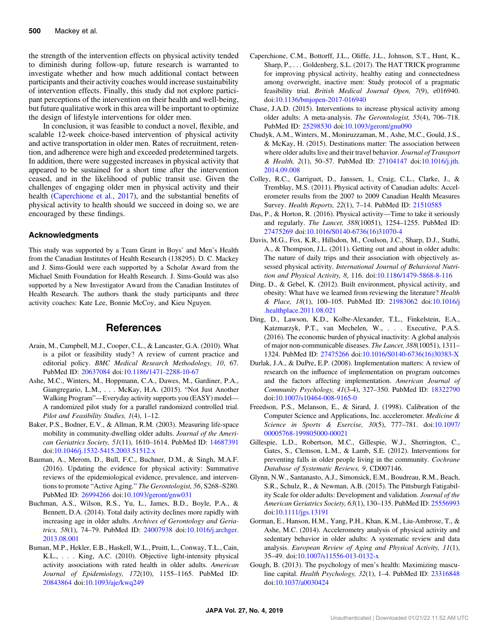<span id="page-11-0"></span>the strength of the intervention effects on physical activity tended to diminish during follow-up, future research is warranted to investigate whether and how much additional contact between participants and their activity coaches would increase sustainability of intervention effects. Finally, this study did not explore participant perceptions of the intervention on their health and well-being, but future qualitative work in this area will be important to optimize the design of lifestyle interventions for older men.

In conclusion, it was feasible to conduct a novel, flexible, and scalable 12-week choice-based intervention of physical activity and active transportation in older men. Rates of recruitment, retention, and adherence were high and exceeded predetermined targets. In addition, there were suggested increases in physical activity that appeared to be sustained for a short time after the intervention ceased, and in the likelihood of public transit use. Given the challenges of engaging older men in physical activity and their health (Caperchione et al., 2017), and the substantial benefits of physical activity to health should we succeed in doing so, we are encouraged by these findings.

#### Acknowledgments

This study was supported by a Team Grant in Boys' and Men's Health from the Canadian Institutes of Health Research (138295). D. C. Mackey and J. Sims-Gould were each supported by a Scholar Award from the Michael Smith Foundation for Health Research. J. Sims-Gould was also supported by a New Investigator Award from the Canadian Institutes of Health Research. The authors thank the study participants and three activity coaches: Kate Lee, Bonnie McCoy, and Kieu Nguyen.

#### References

- Arain, M., Campbell, M.J., Cooper, C.L., & Lancaster, G.A. (2010). What is a pilot or feasibility study? A review of current practice and editorial policy. BMC Medical Research Methodology, 10, 67. PubMed ID: [20637084](http://www.ncbi.nlm.nih.gov/pubmed/20637084?dopt=Abstract) doi:[10.1186/1471-2288-10-67](https://doi.org/10.1186/1471-2288-10-67)
- Ashe, M.C., Winters, M., Hoppmann, C.A., Dawes, M., Gardiner, P.A., Giangregario, L.M., . . . McKay, H.A. (2015). "Not Just Another Walking Program"—Everyday activity supports you (EASY) model— A randomized pilot study for a parallel randomized controlled trial. Pilot and Feasibility Studies, 1(4), 1–12.
- Baker, P.S., Bodner, E.V., & Allman, R.M. (2003). Measuring life-space mobility in community-dwelling older adults. Journal of the American Geriatrics Society, 51(11), 1610–1614. PubMed ID: [14687391](http://www.ncbi.nlm.nih.gov/pubmed/14687391?dopt=Abstract) doi:[10.1046/j.1532-5415.2003.51512.x](https://doi.org/10.1046/j.1532-5415.2003.51512.x)
- Bauman, A., Merom, D., Bull, F.C., Buchner, D.M., & Singh, M.A.F. (2016). Updating the evidence for physical activity: Summative reviews of the epidemiological evidence, prevalence, and interventions to promote "Active Aging." The Gerontologist, 56, S268–S280. PubMed ID: [26994266](http://www.ncbi.nlm.nih.gov/pubmed/26994266?dopt=Abstract) doi:[10.1093/geront/gnw031](https://doi.org/10.1093/geront/gnw031)
- Buchman, A.S., Wilson, R.S., Yu, L., James, B.D., Boyle, P.A., & Bennett, D.A. (2014). Total daily activity declines more rapidly with increasing age in older adults. Archives of Gerontology and Geriatrics, 58(1), 74–79. PubMed ID: [24007938](http://www.ncbi.nlm.nih.gov/pubmed/24007938?dopt=Abstract) doi:[10.1016/j.archger.](https://doi.org/10.1016/j.archger.2013.08.001) [2013.08.001](https://doi.org/10.1016/j.archger.2013.08.001)
- Buman, M.P., Hekler, E.B., Haskell, W.L., Pruitt, L., Conway, T.L., Cain, K.L., . . . King, A.C. (2010). Objective light-intensity physical activity associations with rated health in older adults. American Journal of Epidemiology, 172(10), 1155–1165. PubMed ID: [20843864](http://www.ncbi.nlm.nih.gov/pubmed/20843864?dopt=Abstract) doi:[10.1093/aje/kwq249](https://doi.org/10.1093/aje/kwq249)
- Caperchione, C.M., Bottorff, J.L., Oliffe, J.L., Johnson, S.T., Hunt, K., Sharp, P., . . . Goldenberg, S.L. (2017). The HAT TRICK programme for improving physical activity, healthy eating and connectedness among overweight, inactive men: Study protocol of a pragmatic feasibility trial. British Medical Journal Open, 7(9), e016940. doi:[10.1136/bmjopen-2017-016940](https://doi.org/10.1136/bmjopen-2017-016940)
- Chase, J.A.D. (2015). Interventions to increase physical activity among older adults: A meta-analysis. The Gerontologist, 55(4), 706–718. PubMed ID: [25298530](http://www.ncbi.nlm.nih.gov/pubmed/25298530?dopt=Abstract) doi:[10.1093/geront/gnu090](https://doi.org/10.1093/geront/gnu090)
- Chudyk, A.M., Winters, M., Moniruzzaman, M., Ashe, M.C., Gould, J.S., & McKay, H. (2015). Destinations matter: The association between where older adults live and their travel behavior. Journal of Transport & Health, 2(1), 50–57. PubMed ID: [27104147](http://www.ncbi.nlm.nih.gov/pubmed/27104147?dopt=Abstract) doi[:10.1016/j.jth.](https://doi.org/10.1016/j.jth.2014.09.008) [2014.09.008](https://doi.org/10.1016/j.jth.2014.09.008)
- Colley, R.C., Garriguet, D., Janssen, I., Craig, C.L., Clarke, J., & Tremblay, M.S. (2011). Physical activity of Canadian adults: Accelerometer results from the 2007 to 2009 Canadian Health Measures Survey. Health Reports, 22(1), 7–14. PubMed ID: [21510585](http://www.ncbi.nlm.nih.gov/pubmed/21510585?dopt=Abstract)
- Das, P., & Horton, R. (2016). Physical activity—Time to take it seriously and regularly. The Lancet, 388(10051), 1254–1255. PubMed ID: [27475269](http://www.ncbi.nlm.nih.gov/pubmed/27475269?dopt=Abstract) doi:[10.1016/S0140-6736\(16\)31070-4](https://doi.org/10.1016/S0140-6736(16)31070-4)
- Davis, M.G., Fox, K.R., Hillsdon, M., Coulson, J.C., Sharp, D.J., Stathi, A., & Thompson, J.L. (2011). Getting out and about in older adults: The nature of daily trips and their association with objectively assessed physical activity. International Journal of Behavioral Nutrition and Physical Activity, 8, 116. doi[:10.1186/1479-5868-8-116](https://doi.org/10.1186/1479-5868-8-116)
- Ding, D., & Gebel, K. (2012). Built environment, physical activity, and obesity: What have we learned from reviewing the literature? Health & Place, 18(1), 100–105. PubMed ID: [21983062](http://www.ncbi.nlm.nih.gov/pubmed/21983062?dopt=Abstract) doi:[10.1016/j](https://doi.org/10.1016/j.healthplace.2011.08.021) [.healthplace.2011.08.021](https://doi.org/10.1016/j.healthplace.2011.08.021)
- Ding, D., Lawson, K.D., Kolbe-Alexander, T.L., Finkelstein, E.A., Katzmarzyk, P.T., van Mechelen, W., . . . Executive, P.A.S. (2016). The economic burden of physical inactivity: A global analysis of major non-communicable diseases. The Lancet, 388(10051), 1311– 1324. PubMed ID: [27475266](http://www.ncbi.nlm.nih.gov/pubmed/27475266?dopt=Abstract) doi:[10.1016/S0140-6736\(16\)30383-X](https://doi.org/10.1016/S0140-6736(16)30383-X)
- Durlak, J.A., & DuPre, E.P. (2008). Implementation matters: A review of research on the influence of implementation on program outcomes and the factors affecting implementation. American Journal of Community Psychology, 41(3-4), 327–350. PubMed ID: [18322790](http://www.ncbi.nlm.nih.gov/pubmed/18322790?dopt=Abstract) doi:[10.1007/s10464-008-9165-0](https://doi.org/10.1007/s10464-008-9165-0)
- Freedson, P.S., Melanson, E., & Sirard, J. (1998). Calibration of the Computer Science and Applications, Inc. accelerometer. Medicine & Science in Sports & Exercise, 30(5), 777–781. doi[:10.1097/](https://doi.org/10.1097/00005768-199805000-00021) [00005768-199805000-00021](https://doi.org/10.1097/00005768-199805000-00021)
- Gillespie, L.D., Robertson, M.C., Gillespie, W.J., Sherrington, C., Gates, S., Clemson, L.M., & Lamb, S.E. (2012). Interventions for preventing falls in older people living in the community. Cochrane Database of Systematic Reviews, 9, CD007146.
- Glynn, N.W., Santanasto, A.J., Simonsick, E.M., Boudreau, R.M., Beach, S.R., Schulz, R., & Newman, A.B. (2015). The Pittsburgh Fatigability Scale for older adults: Development and validation. Journal of the American Geriatrics Society, 63(1), 130–135. PubMed ID: [25556993](http://www.ncbi.nlm.nih.gov/pubmed/25556993?dopt=Abstract) doi:[10.1111/jgs.13191](https://doi.org/10.1111/jgs.13191)
- Gorman, E., Hanson, H.M., Yang, P.H., Khan, K.M., Liu-Ambrose, T., & Ashe, M.C. (2014). Accelerometry analysis of physical activity and sedentary behavior in older adults: A systematic review and data analysis. European Review of Aging and Physical Activity, 11(1), 35–49. doi[:10.1007/s11556-013-0132-x](https://doi.org/10.1007/s11556-013-0132-x)
- Gough, B. (2013). The psychology of men's health: Maximizing masculine capital. Health Psychology, 32(1), 1–4. PubMed ID: [23316848](http://www.ncbi.nlm.nih.gov/pubmed/23316848?dopt=Abstract) doi:[10.1037/a0030424](https://doi.org/10.1037/a0030424)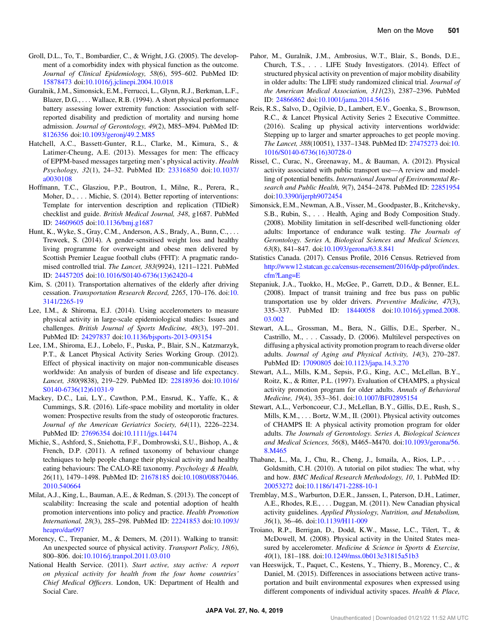- <span id="page-12-0"></span>Groll, D.L., To, T., Bombardier, C., & Wright, J.G. (2005). The development of a comorbidity index with physical function as the outcome. Journal of Clinical Epidemiology, 58(6), 595–602. PubMed ID: [15878473](http://www.ncbi.nlm.nih.gov/pubmed/15878473?dopt=Abstract) doi:[10.1016/j.jclinepi.2004.10.018](https://doi.org/10.1016/j.jclinepi.2004.10.018)
- Guralnik, J.M., Simonsick, E.M., Ferrucci, L., Glynn, R.J., Berkman, L.F., Blazer, D.G., . . . Wallace, R.B. (1994). A short physical performance battery assessing lower extremity function: Association with selfreported disability and prediction of mortality and nursing home admission. Journal of Gerontology, 49(2), M85–M94. PubMed ID: [8126356](http://www.ncbi.nlm.nih.gov/pubmed/8126356?dopt=Abstract) doi[:10.1093/geronj/49.2.M85](https://doi.org/10.1093/geronj/49.2.M85)
- Hatchell, A.C., Bassett-Gunter, R.L., Clarke, M., Kimura, S., & Latimer-Cheung, A.E. (2013). Messages for men: The efficacy of EPPM-based messages targeting men's physical activity. Health Psychology, 32(1), 24–32. PubMed ID: [23316850](http://www.ncbi.nlm.nih.gov/pubmed/23316850?dopt=Abstract) doi[:10.1037/](https://doi.org/10.1037/a0030108) [a0030108](https://doi.org/10.1037/a0030108)
- Hoffmann, T.C., Glasziou, P.P., Boutron, I., Milne, R., Perera, R., Moher, D., . . . Michie, S. (2014). Better reporting of interventions: Template for intervention description and replication (TIDieR) checklist and guide. British Medical Journal, 348, g1687. PubMed ID: [24609605](http://www.ncbi.nlm.nih.gov/pubmed/24609605?dopt=Abstract) doi[:10.1136/bmj.g1687](https://doi.org/10.1136/bmj.g1687)
- Hunt, K., Wyke, S., Gray, C.M., Anderson, A.S., Brady, A., Bunn, C., . . . Treweek, S. (2014). A gender-sensitised weight loss and healthy living programme for overweight and obese men delivered by Scottish Premier League football clubs (FFIT): A pragmatic randomised controlled trial. The Lancet, 383(9924), 1211–1221. PubMed ID: [24457205](http://www.ncbi.nlm.nih.gov/pubmed/24457205?dopt=Abstract) doi[:10.1016/S0140-6736\(13\)62420-4](https://doi.org/10.1016/S0140-6736(13)62420-4)
- Kim, S. (2011). Transportation alternatives of the elderly after driving cessation. Transportation Research Record, 2265, 170–176. doi:[10.](https://doi.org/10.3141/2265-19) [3141/2265-19](https://doi.org/10.3141/2265-19)
- Lee, I.M., & Shiroma, E.J. (2014). Using accelerometers to measure physical activity in large-scale epidemiological studies: Issues and challenges. British Journal of Sports Medicine, 48(3), 197–201. PubMed ID: [24297837](http://www.ncbi.nlm.nih.gov/pubmed/24297837?dopt=Abstract) doi:[10.1136/bjsports-2013-093154](https://doi.org/10.1136/bjsports-2013-093154)
- Lee, I.M., Shiroma, E.J., Lobelo, F., Puska, P., Blair, S.N., Katzmarzyk, P.T., & Lancet Physical Activity Series Working Group. (2012). Effect of physical inactivity on major non-communicable diseases worldwide: An analysis of burden of disease and life expectancy. Lancet, 380(9838), 219–229. PubMed ID: [22818936](http://www.ncbi.nlm.nih.gov/pubmed/22818936?dopt=Abstract) doi[:10.1016/](https://doi.org/10.1016/S0140-6736(12)61031-9) [S0140-6736\(12\)61031-9](https://doi.org/10.1016/S0140-6736(12)61031-9)
- Mackey, D.C., Lui, L.Y., Cawthon, P.M., Ensrud, K., Yaffe, K., & Cummings, S.R. (2016). Life-space mobility and mortality in older women: Prospective results from the study of osteoporotic fractures. Journal of the American Geriatrics Society, 64(11), 2226–2234. PubMed ID: [27696354](http://www.ncbi.nlm.nih.gov/pubmed/27696354?dopt=Abstract) doi:[10.1111/jgs.14474](https://doi.org/10.1111/jgs.14474)
- Michie, S., Ashford, S., Sniehotta, F.F., Dombrowski, S.U., Bishop, A., & French, D.P. (2011). A refined taxonomy of behaviour change techniques to help people change their physical activity and healthy eating behaviours: The CALO-RE taxonomy. Psychology & Health, 26(11), 1479–1498. PubMed ID: [21678185](http://www.ncbi.nlm.nih.gov/pubmed/21678185?dopt=Abstract) doi[:10.1080/08870446.](https://doi.org/10.1080/08870446.2010.540664) [2010.540664](https://doi.org/10.1080/08870446.2010.540664)
- Milat, A.J., King, L., Bauman, A.E., & Redman, S. (2013). The concept of scalability: Increasing the scale and potential adoption of health promotion interventions into policy and practice. Health Promotion International, 28(3), 285–298. PubMed ID: [22241853](http://www.ncbi.nlm.nih.gov/pubmed/22241853?dopt=Abstract) doi[:10.1093/](https://doi.org/10.1093/heapro/dar097) [heapro/dar097](https://doi.org/10.1093/heapro/dar097)
- Morency, C., Trepanier, M., & Demers, M. (2011). Walking to transit: An unexpected source of physical activity. *Transport Policy*, 18(6), 800–806. doi[:10.1016/j.tranpol.2011.03.010](https://doi.org/10.1016/j.tranpol.2011.03.010)
- National Health Service. (2011). Start active, stay active: A report on physical activity for health from the four home countries' Chief Medical Officers. London, UK: Department of Health and Social Care.
- Pahor, M., Guralnik, J.M., Ambrosius, W.T., Blair, S., Bonds, D.E., Church, T.S., . . . LIFE Study Investigators. (2014). Effect of structured physical activity on prevention of major mobility disability in older adults: The LIFE study randomized clinical trial. Journal of the American Medical Association, 311(23), 2387–2396. PubMed ID: [24866862](http://www.ncbi.nlm.nih.gov/pubmed/24866862?dopt=Abstract) doi[:10.1001/jama.2014.5616](https://doi.org/10.1001/jama.2014.5616)
- Reis, R.S., Salvo, D., Ogilvie, D., Lambert, E.V., Goenka, S., Brownson, R.C., & Lancet Physical Activity Series 2 Executive Committee. (2016). Scaling up physical activity interventions worldwide: Stepping up to larger and smarter approaches to get people moving. The Lancet, 388(10051), 1337–1348. PubMed ID: [27475273](http://www.ncbi.nlm.nih.gov/pubmed/27475273?dopt=Abstract) doi:[10.](https://doi.org/10.1016/S0140-6736(16)30728-0) [1016/S0140-6736\(16\)30728-0](https://doi.org/10.1016/S0140-6736(16)30728-0)
- Rissel, C., Curac, N., Greenaway, M., & Bauman, A. (2012). Physical activity associated with public transport use—A review and modelling of potential benefits. International Journal of Environmental Research and Public Health, 9(7), 2454–2478. PubMed ID: [22851954](http://www.ncbi.nlm.nih.gov/pubmed/22851954?dopt=Abstract) doi:[10.3390/ijerph9072454](https://doi.org/10.3390/ijerph9072454)
- Simonsick, E.M., Newman, A.B., Visser, M., Goodpaster, B., Kritchevsky, S.B., Rubin, S., . . . Health, Aging and Body Composition Study. (2008). Mobility limitation in self-described well-functioning older adults: Importance of endurance walk testing. The Journals of Gerontology. Series A, Biological Sciences and Medical Sciences, 63(8), 841–847. doi[:10.1093/gerona/63.8.841](https://doi.org/10.1093/gerona/63.8.841)
- Statistics Canada. (2017). Census Profile, 2016 Census. Retrieved from [http://www12.statcan.gc.ca/census-recensement/2016/dp-pd/prof/index.](http://www12.statcan.gc.ca/census-recensement/2016/dp-pd/prof/index.cfm?Lang=E) [cfm?Lang=E](http://www12.statcan.gc.ca/census-recensement/2016/dp-pd/prof/index.cfm?Lang=E)
- Stepaniuk, J.A., Tuokko, H., McGee, P., Garrett, D.D., & Benner, E.L. (2008). Impact of transit training and free bus pass on public transportation use by older drivers. Preventive Medicine, 47(3), 335–337. PubMed ID: [18440058](http://www.ncbi.nlm.nih.gov/pubmed/18440058?dopt=Abstract) doi:[10.1016/j.ypmed.2008.](https://doi.org/10.1016/j.ypmed.2008.03.002) [03.002](https://doi.org/10.1016/j.ypmed.2008.03.002)
- Stewart, A.L., Grossman, M., Bera, N., Gillis, D.E., Sperber, N., Castrillo, M., . . . Cassady, D. (2006). Multilevel perspectives on diffusing a physical activity promotion program to reach diverse older adults. Journal of Aging and Physical Activity, 14(3), 270–287. PubMed ID: [17090805](http://www.ncbi.nlm.nih.gov/pubmed/17090805?dopt=Abstract) doi:[10.1123/japa.14.3.270](https://doi.org/10.1123/japa.14.3.270)
- Stewart, A.L., Mills, K.M., Sepsis, P.G., King, A.C., McLellan, B.Y., Roitz, K., & Ritter, P.L. (1997). Evaluation of CHAMPS, a physical activity promotion program for older adults. Annals of Behavioral Medicine, 19(4), 353–361. doi[:10.1007/BF02895154](https://doi.org/10.1007/BF02895154)
- Stewart, A.L., Verboncoeur, C.J., McLellan, B.Y., Gillis, D.E., Rush, S., Mills, K.M., . . . Bortz, W.M., II. (2001). Physical activity outcomes of CHAMPS II: A physical activity promotion program for older adults. The Journals of Gerontology. Series A, Biological Sciences and Medical Sciences, 56(8), M465–M470. doi[:10.1093/gerona/56.](https://doi.org/10.1093/gerona/56.8.M465) [8.M465](https://doi.org/10.1093/gerona/56.8.M465)
- Thabane, L., Ma, J., Chu, R., Cheng, J., Ismaila, A., Rios, L.P., . . . Goldsmith, C.H. (2010). A tutorial on pilot studies: The what, why and how. BMC Medical Research Methodology, 10, 1. PubMed ID: [20053272](http://www.ncbi.nlm.nih.gov/pubmed/20053272?dopt=Abstract) doi:[10.1186/1471-2288-10-1](https://doi.org/10.1186/1471-2288-10-1)
- Tremblay, M.S., Warburton, D.E.R., Janssen, I., Paterson, D.H., Latimer, A.E., Rhodes, R.E., . . . Duggan, M. (2011). New Canadian physical activity guidelines. Applied Physiology, Nutrition, and Metabolism, 36(1), 36–46. doi:[10.1139/H11-009](https://doi.org/10.1139/H11-009)
- Troiano, R.P., Berrigan, D., Dodd, K.W., Masse, L.C., Tilert, T., & McDowell, M. (2008). Physical activity in the United States measured by accelerometer. Medicine & Science in Sports & Exercise, 40(1), 181–188. doi[:10.1249/mss.0b013e31815a51b3](https://doi.org/10.1249/mss.0b013e31815a51b3)
- van Heeswijck, T., Paquet, C., Kestens, Y., Thierry, B., Morency, C., & Daniel, M. (2015). Differences in associations between active transportation and built environmental exposures when expressed using different components of individual activity spaces. Health & Place,